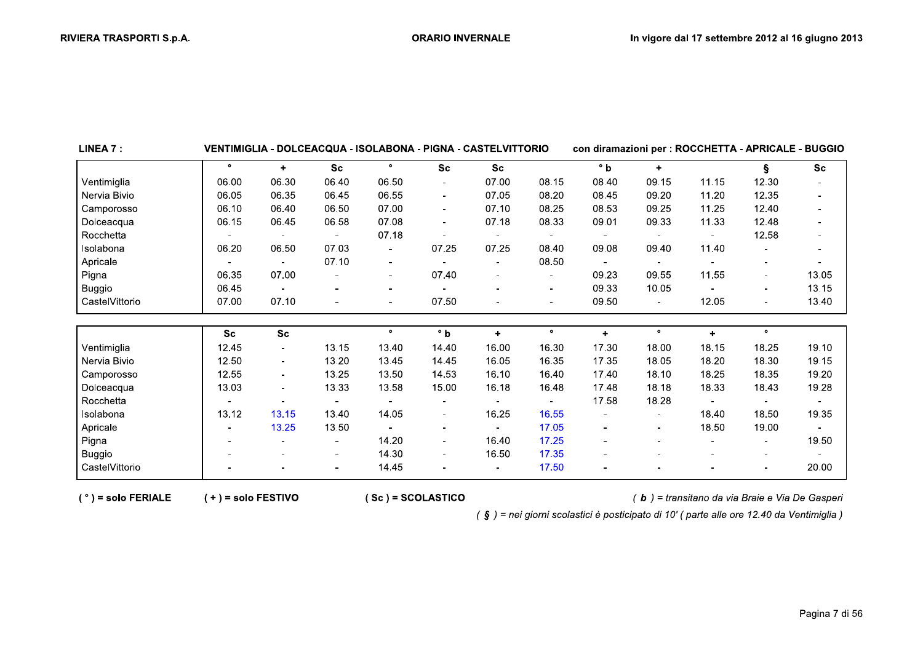| LINEA 7 :      |           | VENTIMIGLIA - DOLCEACQUA - ISOLABONA - PIGNA - CASTELVITTORIO |                          |                          |                          |                      |                          | con diramazioni per : ROCCHETTA - APRICALE - BUGGIO |                      |                      |                          |                |
|----------------|-----------|---------------------------------------------------------------|--------------------------|--------------------------|--------------------------|----------------------|--------------------------|-----------------------------------------------------|----------------------|----------------------|--------------------------|----------------|
|                | $\bullet$ | $\ddot{\phantom{1}}$                                          | <b>Sc</b>                | $\bullet$                | <b>Sc</b>                | <b>Sc</b>            |                          | $\degree$ b                                         | $\ddot{\phantom{1}}$ |                      | ş                        | <b>Sc</b>      |
| Ventimiglia    | 06.00     | 06.30                                                         | 06.40                    | 06.50                    |                          | 07.00                | 08.15                    | 08.40                                               | 09.15                | 11.15                | 12.30                    |                |
| Nervia Bivio   | 06.05     | 06.35                                                         | 06.45                    | 06.55                    | $\sim$                   | 07.05                | 08.20                    | 08.45                                               | 09.20                | 11.20                | 12.35                    |                |
| Camporosso     | 06.10     | 06.40                                                         | 06.50                    | 07.00                    | $\sim$                   | 07.10                | 08.25                    | 08.53                                               | 09.25                | 11.25                | 12.40                    | $\blacksquare$ |
| Dolceacqua     | 06.15     | 06.45                                                         | 06.58                    | 07.08                    | $\blacksquare$           | 07.18                | 08.33                    | 09.01                                               | 09.33                | 11.33                | 12.48                    |                |
| Rocchetta      |           | $\blacksquare$                                                |                          | 07.18                    |                          |                      |                          |                                                     |                      |                      | 12.58                    | $\blacksquare$ |
| Isolabona      | 06.20     | 06.50                                                         | 07.03                    | $\overline{\phantom{a}}$ | 07.25                    | 07.25                | 08.40                    | 09.08                                               | 09.40                | 11.40                |                          | $\blacksquare$ |
| Apricale       |           | $\blacksquare$                                                | 07.10                    | $\blacksquare$           |                          |                      | 08.50                    |                                                     |                      |                      | $\blacksquare$           | $\blacksquare$ |
| Pigna          | 06.35     | 07.00                                                         |                          | $\blacksquare$           | 07.40                    |                      | $\overline{\phantom{a}}$ | 09.23                                               | 09.55                | 11.55                | $\overline{\phantom{0}}$ | 13.05          |
| <b>Buggio</b>  | 06.45     |                                                               |                          | $\overline{\phantom{a}}$ |                          |                      | $\overline{\phantom{a}}$ | 09.33                                               | 10.05                |                      | Ξ.                       | 13.15          |
| CastelVittorio | 07.00     | 07.10                                                         |                          | $\overline{\phantom{a}}$ | 07.50                    |                      | $\overline{\phantom{a}}$ | 09.50                                               |                      | 12.05                |                          | 13.40          |
|                |           |                                                               |                          |                          |                          |                      |                          |                                                     |                      |                      |                          |                |
|                | <b>Sc</b> | <b>Sc</b>                                                     |                          | $\bullet$                | $\degree$ b              | $\ddot{\phantom{1}}$ | $\bullet$                | $\ddot{}$                                           | $\bullet$            | $\ddot{\phantom{1}}$ | $\bullet$                |                |
| Ventimiglia    | 12.45     | $\blacksquare$                                                | 13.15                    | 13.40                    | 14.40                    | 16.00                | 16.30                    | 17.30                                               | 18.00                | 18.15                | 18.25                    | 19.10          |
| Nervia Bivio   | 12.50     | $\overline{\phantom{a}}$                                      | 13.20                    | 13.45                    | 14.45                    | 16.05                | 16.35                    | 17.35                                               | 18.05                | 18.20                | 18.30                    | 19.15          |
| Camporosso     | 12.55     |                                                               | 13.25                    | 13.50                    | 14.53                    | 16.10                | 16.40                    | 17.40                                               | 18.10                | 18.25                | 18.35                    | 19.20          |
| Dolceacqua     | 13.03     |                                                               | 13.33                    | 13.58                    | 15.00                    | 16.18                | 16.48                    | 17.48                                               | 18.18                | 18.33                | 18.43                    | 19.28          |
| Rocchetta      |           |                                                               |                          |                          |                          |                      |                          | 17.58                                               | 18.28                |                      |                          |                |
| Isolabona      | 13.12     | 13.15                                                         | 13.40                    | 14.05                    | $\sim$                   | 16.25                | 16.55                    |                                                     |                      | 18.40                | 18.50                    | 19.35          |
| Apricale       |           | 13.25                                                         | 13.50                    |                          | $\overline{\phantom{a}}$ |                      | 17.05                    |                                                     |                      | 18.50                | 19.00                    |                |
| Pigna          |           |                                                               |                          | 14.20                    | $\sim$                   | 16.40                | 17.25                    |                                                     |                      |                      |                          | 19.50          |
| <b>Buggio</b>  |           |                                                               | $\sim$                   | 14.30                    |                          | 16.50                | 17.35                    |                                                     |                      |                      |                          |                |
| CastelVittorio |           |                                                               | $\overline{\phantom{0}}$ | 14.45                    |                          |                      | 17.50                    |                                                     |                      |                      |                          | 20.00          |

 $(°)$  = solo FERIALE

 $(+)$  = solo FESTIVO

 $(Sc) = SCOLASTICO$ 

(b) = transitano da via Braie e Via De Gasperi

(§) = nei giorni scolastici è posticipato di 10' (parte alle ore 12.40 da Ventimiglia)